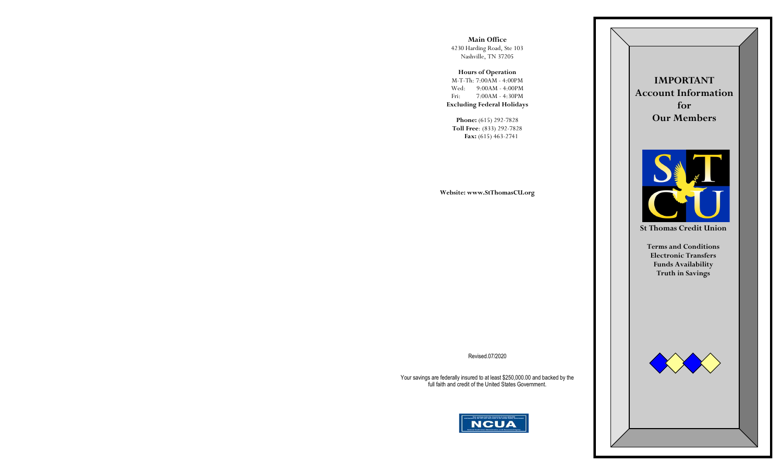**Main Office** 4230 Harding Road, Ste 103 Nashville, TN 37205

**Hours of Operation** M-T-Th: 7:00AM - 4:00PM Wed: 9:00AM - 4:00PM Fri: 7:00AM - 4:30PM **Excluding Federal Holidays**

**Phone:** (615) 292-7828 **Toll Free**: (833) 292-7828 **Fax:** (615) 463-2741

**Website: www.StThomasCU.org**

**IMPORTANT Account Information for Our Members**



**St Thomas Credit Union**

**Terms and Conditions Electronic Transfers Funds Availability Truth in Savings**



Revised.07/2020

Your savings are federally insured to at least \$250,000.00 and backed by the full faith and credit of the United States Government.

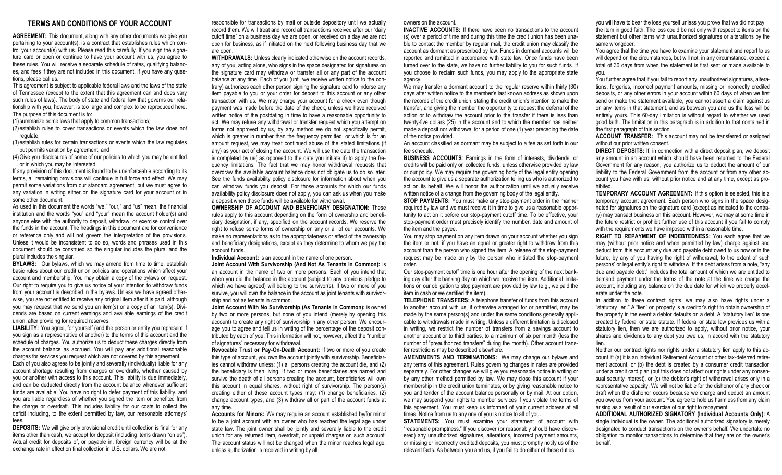### **TERMS AND CONDITIONS OF YOUR ACCOUNT**

**AGREEMENT:** This document, along with any other documents we give you pertaining to your account(s), is a contract that establishes rules which control your account(s) with us. Please read this carefully. If you sign the signature card or open or continue to have your account with us, you agree to these rules. You will receive a separate schedule of rates, qualifying balances, and fees if they are not included in this document. If you have any questions, please call us.

This agreement is subject to applicable federal laws and the laws of the state of Tennessee (except to the extent that this agreement can and does vary such rules of laws). The body of state and federal law that governs our relationship with you, however, is too large and complex to be reproduced here. The purpose of this document is to:

(1) summarize some laws that apply to common transactions;

(2) establish rules to cover transactions or events which the law does not regulate;

(3) establish rules for certain transactions or events which the law regulates but permits variation by agreement; and

(4)Give you disclosures of some of our policies to which you may be entitled or in which you may be interested.

If any provision of this document is found to be unenforceable according to its terms, all remaining provisions will continue in full force and effect. We may permit some variations from our standard agreement, but we must agree to any variation in writing either on the signature card for your account or in some other document.

As used in this document the words "we," "our," and "us" mean, the financial institution and the words "you" and "your" mean the account holder(s) and anyone else with the authority to deposit, withdraw, or exercise control over the funds in the account. The headings in this document are for convenience or reference only and will not govern the interpretation of the provisions. Unless it would be inconsistent to do so, words and phrases used in this document should be construed so the singular includes the plural and the plural includes the singular.

**BYLAWS:** Our bylaws, which we may amend from time to time, establish basic rules about our credit union policies and operations which affect your account and membership. You may obtain a copy of the bylaws on request. Our right to require you to give us notice of your intention to withdraw funds from your account is described in the bylaws. Unless we have agreed otherwise, you are not entitled to receive any original item after it is paid, although you may request that we send you an item(s) or a copy of an item(s). Dividends are based on current earnings and available earnings of the credit union, after providing for required reserves.

LIABILITY: You agree, for yourself (and the person or entity you represent if you sign as a representative of another) to the terms of this account and the schedule of charges. You authorize us to deduct these charges directly from the account balance as accrued. You will pay any additional reasonable charges for services you request which are not covered by this agreement.

Each of you also agrees to be jointly and severally (individually) liable for any account shortage resulting from charges or overdrafts, whether caused by you or another with access to this account. This liability is due immediately, and can be deducted directly from the account balance whenever sufficient funds are available. You have no right to defer payment of this liability, and you are liable regardless of whether you signed the item or benefited from the charge or overdraft. This includes liability for our costs to collect the deficit including, to the extent permitted by law, our reasonable attorneys' fees.

**DEPOSITS:** We will give only provisional credit until collection is final for any items other than cash, we accept for deposit (including items drawn "on us"). Actual credit for deposits of, or payable in, foreign currency will be at the exchange rate in effect on final collection in U.S. dollars. We are not

responsible for transactions by mail or outside depository until we actually record them. We will treat and record all transactions received after our "daily cutoff time" on a business day we are open, or received on a day we are not open for business, as if initiated on the next following business day that we are open.

**WITHDRAWALS:** Unless clearly indicated otherwise on the account records, any of you, acting alone, who signs in the space designated for signatures on the signature card may withdraw or transfer all or any part of the account balance at any time. Each of you (until we receive written notice to the contrary) authorizes each other person signing the signature card to indorse any item payable to you or your order for deposit to this account or any other transaction with us. We may charge your account for a check even though payment was made before the date of the check, unless we have received written notice of the postdating in time to have a reasonable opportunity to act. We may refuse any withdrawal or transfer request which you attempt on forms not approved by us, by any method we do not specifically permit, which is greater in number than the frequency permitted, or which is for an amount request, we may treat continued abuse of the stated limitations (if any) as your act of closing the account. We will use the date the transaction is completed by us( as opposed to the date you initiate it) to apply the frequency limitations. The fact that we may honor withdrawal requests that overdraw the available account balance does not obligate us to do so later. See the funds availability policy disclosure for information about when you can withdraw funds you deposit. For those accounts for which our funds availability policy disclosure does not apply, you can ask us when you make a deposit when those funds will be available for withdrawal.

**OWNERSHIP OF ACCOUNT AND BENEFICIARY DESIGNATION:** These rules apply to this account depending on the form of ownership and beneficiary designation, if any, specified on the account records. We reserve the right to refuse some forms of ownership on any or all of our accounts. We make no representations as to the appropriateness or effect of the ownership and beneficiary designations, except as they determine to whom we pay the account funds.

**Individual Account:** is an account in the name of one person.

**Joint Account With Survivorship (And Not As Tenants In Common):** is an account in the name of two or more persons. Each of you intend that when you die the balance in the account (subject to any previous pledge to which we have agreed) will belong to the survivor(s). If two or more of you survive, you will own the balance in the account as joint tenants with survivorship and not as tenants in common.

**Joint Account With No Survivorship (As Tenants In Common):** is owned by two or more persons, but none of you intend (merely by opening this account) to create any right of survivorship in any other person. We encourage you to agree and tell us in writing of the percentage of the deposit contributed by each of you. This information will not, however, affect the "number of signatures" necessary for withdrawal.

**Revocable Trust or Pay-On-Death Account:** If two or more of you create this type of account, you own the account jointly with survivorship. Beneficiaries cannot withdraw unless: (1) all persons creating the account die, and (2) the beneficiary is then living. If two or more beneficiaries are named and survive the death of all persons creating the account, beneficiaries will own this account in equal shares, without right of survivorship. The person(s) creating either of these account types may: (1) change beneficiaries, (2) change account types, and (3) withdraw all or part of the account funds at any time.

**Accounts for Minors:** We may require an account established by/for minor to be a joint account with an owner who has reached the legal age under state law. The joint owner shall be jointly and severally liable to the credit union for any returned item, overdraft, or unpaid charges on such account. The account status will not be changed when the minor reaches legal age, unless authorization is received in writing by all

#### owners on the account.

**INACTIVE ACCOUNTS:** If there have been no transactions to the account (s) over a period of time and during this time the credit union has been unable to contact the member by regular mail, the credit union may classify the account as dormant as prescribed by law. Funds in dormant accounts will be reported and remitted in accordance with state law. Once funds have been turned over to the state, we have no further liability to you for such funds. If you choose to reclaim such funds, you may apply to the appropriate state agency.

We may transfer a dormant account to the regular reserve within thirty (30) days after written notice to the member's last known address as shown upon the records of the credit union, stating the credit union's intention to make the transfer, and giving the member the opportunity to request the deferral of the action or to withdraw the account prior to the transfer if there is less than twenty-five dollars (25) in the account and to which the member has neither made a deposit nor withdrawal for a period of one (1) year preceding the date of the notice provided.

An account classified as dormant may be subject to a fee as set forth in our fee schedule.

**BUSINESS ACCOUNTS**: Earnings in the form of interests, dividends, or credits will be paid only on collected funds, unless otherwise provided by law or our policy. We may require the governing body of the legal entity opening the account to give us a separate authorization telling us who is authorized to act on its behalf. We will honor the authorization until we actually receive written notice of a change from the governing body of the legal entity.

**STOP PAYMENTS:** You must make any stop-payment order in the manner required by law and we must receive it in time to give us a reasonable opportunity to act on it before our stop-payment cutoff time. To be effective, your stop-payment order must precisely identify the number, date and amount of the item and the payee.

You may stop payment on any item drawn on your account whether you sign the item or not, if you have an equal or greater right to withdraw from this account than the person who signed the item. A release of the stop-payment request may be made only by the person who initiated the stop-payment order.

Our stop-payment cutoff time is one hour after the opening of the next banking day after the banking day on which we receive the item. Additional limitations on our obligation to stop payment are provided by law (e.g., we paid the item in cash or we certified the item).

**TELEPHONE TRANSFERS:** A telephone transfer of funds from this account to another account with us, if otherwise arranged for or permitted, may be made by the same person(s) and under the same conditions generally applicable to withdrawals made in writing. Unless a different limitation is disclosed in writing, we restrict the number of transfers from a savings account to another account or to third parties, to a maximum of six per month (less the number of "preauthorized transfers" during the month). Other account transfer restrictions may be described elsewhere.

**AMENDMENTS AND TERMINATIONS:** We may change our bylaws and any terms of this agreement. Rules governing changes in rates are provided separately. For other changes we will give you reasonable notice in writing or by any other method permitted by law. We may close this account if your membership in the credit union terminates, or by giving reasonable notice to you and tender of the account balance personally or by mail. At our option, we may suspend your rights to member services if you violate the terms of this agreement. You must keep us informed of your current address at all times. Notice from us to any one of you is notice to all of you.

**STATEMENTS:** You must examine your statement of account with "reasonable promptness." If you discover (or reasonably should have discovered) any unauthorized signatures, alterations, incorrect payment amounts, or missing or incorrectly credited deposits, you must promptly notify us of the relevant facts. As between you and us, if you fail to do either of these duties,

you will have to bear the loss yourself unless you prove that we did not pay the item in good faith. The loss could be not only with respect to items on the statement but other items with unauthorized signatures or alterations by the same wrongdoer.

You agree that the time you have to examine your statement and report to us will depend on the circumstances, but will not, in any circumstance, exceed a total of 30 days from when the statement is first sent or made available to you.

You further agree that if you fail to report any unauthorized signatures, alterations, forgeries, incorrect payment amounts, missing or incorrectly credited deposits, or any other errors in your account within 60 days of when we first send or make the statement available, you cannot assert a claim against us on any items in that statement, and as between you and us the loss will be entirely yours. This 60-day limitation is without regard to whether we used good faith. The limitation in this paragraph is in addition to that contained in the first paragraph of this section.

**ACCOUNT TRANSFER:** This account may not be transferred or assigned without our prior written consent.

**DIRECT DEPOSITS:** If, in connection with a direct deposit plan, we deposit any amount in an account which should have been returned to the Federal Government for any reason, you authorize us to deduct the amount of our liability to the Federal Government from the account or from any other account you have with us, without prior notice and at any time, except as prohibited.

**TEMPORARY ACCOUNT AGREEMENT:** If this option is selected, this is a temporary account agreement. Each person who signs in the space designated for signatures on the signature card (except as indicated to the contrary) may transact business on this account. However, we may at some time in the future restrict or prohibit further use of this account if you fail to comply with the requirements we have imposed within a reasonable time.

**RIGHT TO REPAYMENT OF INDEBTEDNESS:** You each agree that we may (without prior notice and when permitted by law) charge against and deduct from this account any due and payable debt owed to us now or in the future, by any of you having the right of withdrawal, to the extent of such persons' or legal entity's right to withdraw. If the debt arises from a note, "any due and payable debt" includes the total amount of which we are entitled to demand payment under the terms of the note at the time we charge the account, including any balance on the due date for which we properly accelerate under the note.

In addition to these contract rights, we may also have rights under a "statutory lien." A "lien" on property is a creditor's right to obtain ownership of the property in the event a debtor defaults on a debt. A "statutory lien" is one created by federal or state statute. If federal or state law provides us with a statutory lien, then we are authorized to apply, without prior notice, your shares and dividends to any debt you owe us, in accord with the statutory lien.

Neither our contract rights nor rights under a statutory lien apply to this account if: (a) it is an Individual Retirement Account or other tax-deferred retirement account, or (b) the debt is created by a consumer credit transaction under a credit card plan (but this does not affect our rights under any consensual security interest), or (c) the debtor's right of withdrawal arises only in a representative capacity. We will not be liable for the dishonor of any check or draft when the dishonor occurs because we charge and deduct an amount you owe us from your account. You agree to hold us harmless from any claim arising as a result of our exercise of our right to repayment.

**ADDITIONAL AUTHORIZED SIGNATORY (Individual Accounts Only):** A single individual is the owner. The additional authorized signatory is merely designated to conduct transactions on the owner's behalf. We undertake no obligation to monitor transactions to determine that they are on the owner's behalf.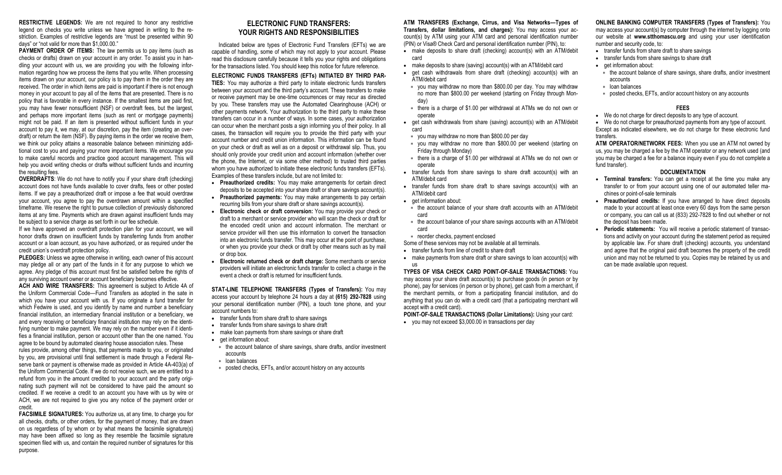**RESTRICTIVE LEGENDS:** We are not required to honor any restrictive legend on checks you write unless we have agreed in writing to the restriction. Examples of restrictive legends are "must be presented within 90 days" or "not valid for more than \$1,000.00."

**PAYMENT ORDER OF ITEMS:** The law permits us to pay items (such as checks or drafts) drawn on your account in any order. To assist you in handling your account with us, we are providing you with the following information regarding how we process the items that you write. When processing items drawn on your account, our policy is to pay them in the order they are received. The order in which items are paid is important if there is not enough money in your account to pay all of the items that are presented. There is no policy that is favorable in every instance. If the smallest items are paid first, you may have fewer nonsufficient (NSF) or overdraft fees, but the largest, and perhaps more important items (such as rent or mortgage payments) might not be paid. If an item is presented without sufficient funds in your account to pay it, we may, at our discretion, pay the item (creating an overdraft) or return the item (NSF). By paying items in the order we receive them, we think our policy attains a reasonable balance between minimizing additional cost to you and paying your more important items. We encourage you to make careful records and practice good account management. This will help you avoid writing checks or drafts without sufficient funds and incurring the resulting fees.

**OVERDRAFTS**: We do not have to notify you if your share draft (checking) account does not have funds available to cover drafts, fees or other posted items. If we pay a preauthorized draft or impose a fee that would overdraw your account, you agree to pay the overdrawn amount within a specified timeframe. We reserve the right to pursue collection of previously dishonored items at any time. Payments which are drawn against insufficient funds may be subject to a service charge as set forth in our fee schedule.

If we have approved an overdraft protection plan for your account, we will honor drafts drawn on insufficient funds by transferring funds from another account or a loan account, as you have authorized, or as required under the credit union's overdraft protection policy.

**PLEDGES:** Unless we agree otherwise in writing, each owner of this account may pledge all or any part of the funds in it for any purpose to which we agree. Any pledge of this account must first be satisfied before the rights of any surviving account owner or account beneficiary becomes effective.

**ACH AND WIRE TRANSFERS:** This agreement is subject to Article 4A of the Uniform Commercial Code—Fund Transfers as adopted in the sate in which you have your account with us. If you originate a fund transfer for which Fedwire is used, and you identify by name and number a beneficiary financial institution, an intermediary financial institution or a beneficiary, we and every receiving or beneficiary financial institution may rely on the identifying number to make payment. We may rely on the number even if it identifies a financial institution, person or account other than the one named. You agree to be bound by automated clearing house association rules. These

rules provide, among other things, that payments made to you, or originated by you, are provisional until final settlement is made through a Federal Reserve bank or payment is otherwise made as provided in Article 4A-403(a) of the Uniform Commercial Code. If we do not receive such, we are entitled to a refund from you in the amount credited to your account and the party originating such payment will not be considered to have paid the amount so credited. If we receive a credit to an account you have with us by wire or ACH, we are not required to give you any notice of the payment order or credit.

**FACSIMILE SIGNATURES:** You authorize us, at any time, to charge you for all checks, drafts, or other orders, for the payment of money, that are drawn on us regardless of by whom or by what means the facsimile signature(s) may have been affixed so long as they resemble the facsimile signature specimen filed with us, and contain the required number of signatures for this purpose.

# **ELECTRONIC FUND TRANSFERS: YOUR RIGHTS AND RESPONSIBILITIES**

Indicated below are types of Electronic Fund Transfers (EFTs) we are capable of handling, some of which may not apply to your account. Please read this disclosure carefully because it tells you your rights and obligations for the transactions listed. You should keep this notice for future reference.

# **ELECTRONIC FUNDS TRANSFERS (EFTs) INITIATED BY THIRD PAR-**

**TIES:** You may authorize a third party to initiate electronic funds transfers between your account and the third party's account. These transfers to make or receive payment may be one-time occurrences or may recur as directed by you. These transfers may use the Automated Clearinghouse (ACH) or other payments network. Your authorization to the third party to make these transfers can occur in a number of ways. In some cases, your authorization can occur when the merchant posts a sign informing you of their policy. In all cases, the transaction will require you to provide the third party with your account number and credit union information. This information can be found on your check or draft as well as on a deposit or withdrawal slip. Thus, you should only provide your credit union and account information (whether over the phone, the Internet, or via some other method) to trusted third parties whom you have authorized to initiate these electronic funds transfers (EFTs). Examples of these transfers include, but are not limited to:

- **Preauthorized credits:** You may make arrangements for certain direct deposits to be accepted into your share draft or share savings account(s). • **Preauthorized payments:** You may make arrangements to pay certain
	- recurring bills from your share draft or share savings account(s).
- **Electronic check or draft conversion:** You may provide your check or draft to a merchant or service provider who will scan the check or draft for the encoded credit union and account information. The merchant or service provider will then use this information to convert the transaction into an electronic funds transfer. This may occur at the point of purchase, or when you provide your check or draft by other means such as by mail or drop box.
- **Electronic returned check or draft charge:** Some merchants or service providers will initiate an electronic funds transfer to collect a charge in the event a check or draft is returned for insufficient funds.

**STAT-LINE TELEPHONE TRANSFERS (Types of Transfers):** You may access your account by telephone 24 hours a day at **(615) 292-7828** using your personal identification number (PIN), a touch tone phone, and your account numbers to:

- transfer funds from share draft to share savings
- transfer funds from share savings to share draft
- make loan payments from share savings or share draft
- get information about:
- $*$  the account balance of share savings, share drafts, and/or investment accounts
- loan balances
- posted checks, EFTs, and/or account history on any accounts

**ATM TRANSFERS (Exchange, Cirrus, and Visa Networks—Types of Transfers, dollar limitations, and charges):** You may access your account(s) by ATM using your ATM card and personal identification number (PIN) or Visa® Check Card and personal identification number (PIN), to:

- make deposits to share draft (checking) account(s) with an ATM/debit card
- make deposits to share (saving) account(s) with an ATM/debit card
- get cash withdrawals from share draft (checking) account(s) with an ATM/debit card
- you may withdraw no more than \$800.00 per day. You may withdraw no more than \$800.00 per weekend (starting on Friday through Monday)
- there is a charge of \$1.00 per withdrawal at ATMs we do not own or operate
- get cash withdrawals from share (saving) account(s) with an ATM/debit card
- you may withdraw no more than \$800.00 per day
- you may withdraw no more than \$800.00 per weekend (starting on Friday through Monday)
- \* there is a charge of \$1.00 per withdrawal at ATMs we do not own or operate
- transfer funds from share savings to share draft account(s) with an ATM/debit card
- transfer funds from share draft to share savings account(s) with an ATM/debit card
- get information about:
- the account balance of your share draft accounts with an ATM/debit card
- \* the account balance of your share savings accounts with an ATM/debit card
- reorder checks, payment enclosed
- Some of these services may not be available at all terminals.
- transfer funds from line of credit to share draft
- make payments from share draft or share sayings to loan account(s) with us

**TYPES OF VISA CHECK CARD POINT-OF-SALE TRANSACTIONS:** You may access your share draft account(s) to purchase goods (in person or by phone), pay for services (in person or by phone), get cash from a merchant, if the merchant permits, or from a participating financial institution, and do anything that you can do with a credit card (that a participating merchant will accept with a credit card).

**POINT-OF-SALE TRANSACTIONS (Dollar Limitations):** Using your card:

• you may not exceed \$3,000.00 in transactions per day

# **ONLINE BANKING COMPUTER TRANSFERS (Types of Transfers):** You

may access your account(s) by computer through the internet by logging onto our website at **www.stthomascu.org** and using your user identification number and security code, to:

- transfer funds from share draft to share savings
- transfer funds from share savings to share draft
- get information about:
	- \* the account balance of share savings, share drafts, and/or investment accounts
- loan balances
	- posted checks, EFTs, and/or account history on any accounts

### **FEES**

• We do not charge for direct deposits to any type of account.

• We do not charge for preauthorized payments from any type of account. Except as indicated elsewhere, we do not charge for these electronic fund transfers.

**ATM OPERATOR/NETWORK FEES:** When you use an ATM not owned by us, you may be charged a fee by the ATM operator or any network used (and you may be charged a fee for a balance inquiry even if you do not complete a fund transfer).

#### **DOCUMENTATION**

- **Terminal transfers:** You can get a receipt at the time you make any transfer to or from your account using one of our automated teller machines or point-of-sale terminals
- **Preauthorized credits:** If you have arranged to have direct deposits made to your account at least once every 60 days from the same person or company, you can call us at (833) 292-7828 to find out whether or not the deposit has been made.
- **Periodic statements:** You will receive a periodic statement of transactions and activity on your account during the statement period as required by applicable law. For share draft (checking) accounts, you understand and agree that the original paid draft becomes the property of the credit union and may not be returned to you. Copies may be retained by us and can be made available upon request.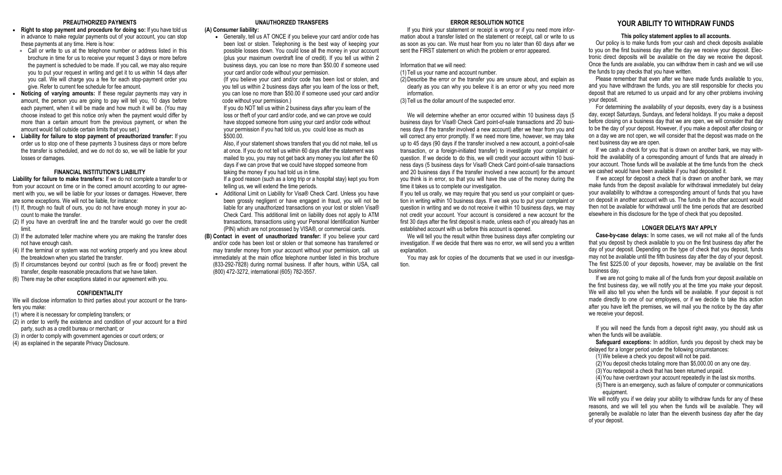### **PREAUTHORIZED PAYMENTS**

- **Right to stop payment and procedure for doing so:** If you have told us in advance to make regular payments out of your account, you can stop these payments at any time. Here is how:
- Call or write to us at the telephone number or address listed in this brochure in time for us to receive your request 3 days or more before the payment is scheduled to be made. If you call, we may also require you to put your request in writing and get it to us within 14 days after you call. We will charge you a fee for each stop-payment order you give. Refer to current fee schedule for fee amount.
- **Noticing of varying amounts:** If these regular payments may vary in amount, the person you are going to pay will tell you, 10 days before each payment, when it will be made and how much it will be. (You may choose instead to get this notice only when the payment would differ by more than a certain amount from the previous payment, or when the amount would fall outside certain limits that you set.)
- **Liability for failure to stop payment of preauthorized transfer:** If you order us to stop one of these payments 3 business days or more before the transfer is scheduled, and we do not do so, we will be liable for your losses or damages.

#### **FINANCIAL INSTITUTION'S LIABILITY**

**Liability for failure to make transfers:** If we do not complete a transfer to or from your account on time or in the correct amount according to our agreement with you, we will be liable for your losses or damages. However, there are some exceptions. We will not be liable, for instance:

- (1) If, through no fault of ours, you do not have enough money in your account to make the transfer.
- (2) If you have an overdraft line and the transfer would go over the credit limit.
- (3) If the automated teller machine where you are making the transfer does not have enough cash.
- (4) If the terminal or system was not working properly and you knew about the breakdown when you started the transfer.
- (5) If circumstances beyond our control (such as fire or flood) prevent the transfer, despite reasonable precautions that we have taken.
- (6) There may be other exceptions stated in our agreement with you.

#### **CONFIDENTIALITY**

We will disclose information to third parties about your account or the transfers you make:

- (1) where it is necessary for completing transfers; or
- (2) in order to verify the existence and condition of your account for a third party, such as a credit bureau or merchant; or
- (3) in order to comply with government agencies or court orders; or
- (4) as explained in the separate Privacy Disclosure.

### **UNAUTHORIZED TRANSFERS**

#### **(A) Consumer liability:**

• Generally, tell us AT ONCE if you believe your card and/or code has been lost or stolen. Telephoning is the best way of keeping your possible losses down. You could lose all the money in your account (plus your maximum overdraft line of credit). If you tell us within 2 business days, you can lose no more than \$50.00 if someone used your card and/or code without your permission.

(If you believe your card and/or code has been lost or stolen, and you tell us within 2 business days after you learn of the loss or theft, you can lose no more than \$50.00 if someone used your card and/or code without your permission.)

 If you do NOT tell us within 2 business days after you learn of the loss or theft of your card and/or code, and we can prove we could have stopped someone from using your card and/or code without your permission if you had told us, you could lose as much as \$500.00.

 Also, if your statement shows transfers that you did not make, tell us at once. If you do not tell us within 60 days after the statement was mailed to you, you may not get back any money you lost after the 60 days if we can prove that we could have stopped someone from taking the money if you had told us in time.

 If a good reason (such as a long trip or a hospital stay) kept you from telling us, we will extend the time periods.

- Additional Limit on Liability for Visa® Check Card. Unless you have been grossly negligent or have engaged in fraud, you will not be liable for any unauthorized transactions on your lost or stolen Visa® Check Card. This additional limit on liability does not apply to ATM transactions, transactions using your Personal Identification Number (PIN) which are not processed by VISA®, or commercial cards.
- **(B) Contact in event of unauthorized transfer:** If you believe your card and/or code has been lost or stolen or that someone has transferred or may transfer money from your account without your permission, call us immediately at the main office telephone number listed in this brochure (833-292-7828) during normal business. If after hours, within USA, call (800) 472-3272, international (605) 782-3557.

## **ERROR RESOLUTION NOTICE**

If you think your statement or receipt is wrong or if you need more information about a transfer listed on the statement or receipt, call or write to us as soon as you can. We must hear from you no later than 60 days after we sent the FIRST statement on which the problem or error appeared.

#### Information that we will need:

- (1)Tell us your name and account number.
- (2)Describe the error or the transfer you are unsure about, and explain as clearly as you can why you believe it is an error or why you need more information.
- (3)Tell us the dollar amount of the suspected error.

 We will determine whether an error occurred within 10 business days (5 business days for Visa® Check Card point-of-sale transactions and 20 business days if the transfer involved a new account) after we hear from you and will correct any error promptly. If we need more time, however, we may take up to 45 days (90 days if the transfer involved a new account, a point-of-sale transaction, or a foreign-initiated transfer) to investigate your complaint or question. If we decide to do this, we will credit your account within 10 business days (5 business days for Visa® Check Card point-of-sale transactions and 20 business days if the transfer involved a new account) for the amount you think is in error, so that you will have the use of the money during the time it takes us to complete our investigation.

If you tell us orally, we may require that you send us your complaint or question in writing within 10 business days. If we ask you to put your complaint or question in writing and we do not receive it within 10 business days, we may not credit your account. Your account is considered a new account for the first 30 days after the first deposit is made, unless each of you already has an established account with us before this account is opened.

We will tell you the result within three business days after completing our investigation. If we decide that there was no error, we will send you a written explanation.

You may ask for copies of the documents that we used in our investigation.

### **YOUR ABILITY TO WITHDRAW FUNDS**

#### **This policy statement applies to all accounts.**

Our policy is to make funds from your cash and check deposits available to you on the first business day after the day we receive your deposit. Electronic direct deposits will be available on the day we receive the deposit. Once the funds are available, you can withdraw them in cash and we will use the funds to pay checks that you have written.

Please remember that even after we have made funds available to you, and you have withdrawn the funds, you are still responsible for checks you deposit that are returned to us unpaid and for any other problems involving your deposit.

For determining the availability of your deposits, every day is a business day, except Saturdays, Sundays, and federal holidays. If you make a deposit before closing on a business day that we are open, we will consider that day to be the day of your deposit. However, if you make a deposit after closing or on a day we are not open, we will consider that the deposit was made on the next business day we are open.

If we cash a check for you that is drawn on another bank, we may withhold the availability of a corresponding amount of funds that are already in your account. Those funds will be available at the time funds from the check we cashed would have been available if you had deposited it.

If we accept for deposit a check that is drawn on another bank, we may make funds from the deposit available for withdrawal immediately but delay your availability to withdraw a corresponding amount of funds that you have on deposit in another account with us. The funds in the other account would then not be available for withdrawal until the time periods that are described elsewhere in this disclosure for the type of check that you deposited.

#### **LONGER DELAYS MAY APPLY**

**Case-by-case delays:** In some cases, we will not make all of the funds that you deposit by check available to you on the first business day after the day of your deposit. Depending on the type of check that you deposit, funds may not be available until the fifth business day after the day of your deposit. The first \$225.00 of your deposits, however, may be available on the first business day.

If we are not going to make all of the funds from your deposit available on the first business day, we will notify you at the time you make your deposit. We will also tell you when the funds will be available. If your deposit is not made directly to one of our employees, or if we decide to take this action after you have left the premises, we will mail you the notice by the day after we receive your deposit.

If you will need the funds from a deposit right away, you should ask us when the funds will be available.

**Safeguard exceptions:** In addition, funds you deposit by check may be delayed for a longer period under the following circumstances:

(1)We believe a check you deposit will not be paid.

(2)You deposit checks totaling more than \$5,000.00 on any one day.

- (3)You redeposit a check that has been returned unpaid.
- (4)You have overdrawn your account repeatedly in the last six months. (5)There is an emergency, such as failure of computer or communications

equipment.

We will notify you if we delay your ability to withdraw funds for any of these reasons, and we will tell you when the funds will be available. They will generally be available no later than the eleventh business day after the day of your deposit.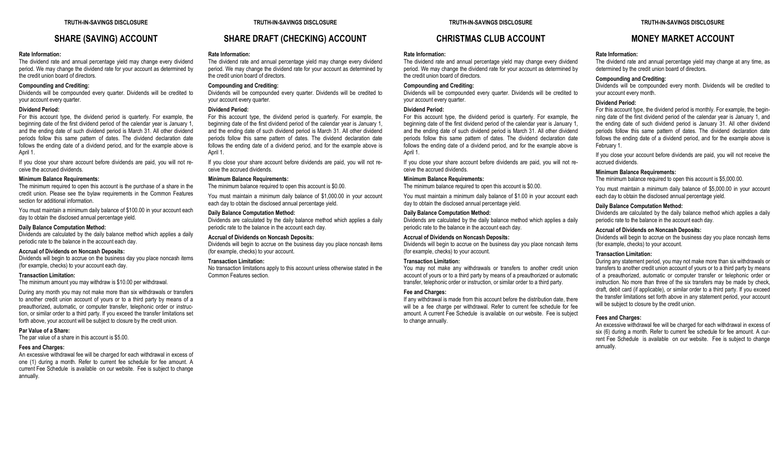# **SHARE (SAVING) ACCOUNT**

#### **Rate Information:**

The dividend rate and annual percentage yield may change every dividend period. We may change the dividend rate for your account as determined by the credit union board of directors.

### **Compounding and Crediting:**

Dividends will be compounded every quarter. Dividends will be credited to your account every quarter.

### **Dividend Period:**

For this account type, the dividend period is quarterly. For example, the beginning date of the first dividend period of the calendar year is January 1, and the ending date of such dividend period is March 31. All other dividend periods follow this same pattern of dates. The dividend declaration date follows the ending date of a dividend period, and for the example above is April 1.

If you close your share account before dividends are paid, you will not receive the accrued dividends.

#### **Minimum Balance Requirements:**

The minimum required to open this account is the purchase of a share in the credit union. Please see the bylaw requirements in the Common Features section for additional information.

You must maintain a minimum daily balance of \$100.00 in your account each day to obtain the disclosed annual percentage yield.

#### **Daily Balance Computation Method:**

Dividends are calculated by the daily balance method which applies a daily periodic rate to the balance in the account each day.

### **Accrual of Dividends on Noncash Deposits:**

Dividends will begin to accrue on the business day you place noncash items (for example, checks) to your account each day.

#### **Transaction Limitation:**

The minimum amount you may withdraw is \$10.00 per withdrawal.

During any month you may not make more than six withdrawals or transfers to another credit union account of yours or to a third party by means of a preauthorized, automatic, or computer transfer, telephonic order or instruction, or similar order to a third party. If you exceed the transfer limitations set forth above, your account will be subject to closure by the credit union.

#### **Par Value of a Share:**

The par value of a share in this account is \$5.00.

#### **Fees and Charges:**

An excessive withdrawal fee will be charged for each withdrawal in excess of one (1) during a month. Refer to current fee schedule for fee amount. A current Fee Schedule is available on our website. Fee is subject to change annually.

#### **TRUTH-IN-SAVINGS DISCLOSURE**

# **SHARE DRAFT (CHECKING) ACCOUNT**

#### **Rate Information:**

The dividend rate and annual percentage yield may change every dividend period. We may change the dividend rate for your account as determined by the credit union board of directors.

#### **Compounding and Crediting:**

Dividends will be compounded every quarter. Dividends will be credited to your account every quarter.

### **Dividend Period:**

For this account type, the dividend period is quarterly. For example, the beginning date of the first dividend period of the calendar year is January 1, and the ending date of such dividend period is March 31. All other dividend periods follow this same pattern of dates. The dividend declaration date follows the ending date of a dividend period, and for the example above is April 1.

If you close your share account before dividends are paid, you will not receive the accrued dividends.

### **Minimum Balance Requirements:**

The minimum balance required to open this account is \$0.00.

You must maintain a minimum daily balance of \$1,000.00 in your account each day to obtain the disclosed annual percentage yield.

#### **Daily Balance Computation Method:**

Dividends are calculated by the daily balance method which applies a daily periodic rate to the balance in the account each day.

#### **Accrual of Dividends on Noncash Deposits:**

Dividends will begin to accrue on the business day you place noncash items (for example, checks) to your account.

#### **Transaction Limitation:**

No transaction limitations apply to this account unless otherwise stated in the Common Features section.

# **CHRISTMAS CLUB ACCOUNT**

### **Rate Information:**

The dividend rate and annual percentage yield may change every dividend period. We may change the dividend rate for your account as determined by the credit union board of directors.

#### **Compounding and Crediting:**

Dividends will be compounded every quarter. Dividends will be credited to your account every quarter.

#### **Dividend Period:**

For this account type, the dividend period is quarterly. For example, the beginning date of the first dividend period of the calendar year is January 1, and the ending date of such dividend period is March 31. All other dividend periods follow this same pattern of dates. The dividend declaration date follows the ending date of a dividend period, and for the example above is April 1.

If you close your share account before dividends are paid, you will not receive the accrued dividends.

### **Minimum Balance Requirements:**

The minimum balance required to open this account is \$0.00.

You must maintain a minimum daily balance of \$1.00 in your account each day to obtain the disclosed annual percentage yield.

#### **Daily Balance Computation Method:**

Dividends are calculated by the daily balance method which applies a daily periodic rate to the balance in the account each day.

### **Accrual of Dividends on Noncash Deposits:**

Dividends will begin to accrue on the business day you place noncash items (for example, checks) to your account.

### **Transaction Limitation:**

You may not make any withdrawals or transfers to another credit union account of yours or to a third party by means of a preauthorized or automatic transfer, telephonic order or instruction, or similar order to a third party.

#### **Fee and Charges:**

If any withdrawal is made from this account before the distribution date, there will be a fee charge per withdrawal. Refer to current fee schedule for fee amount. A current Fee Schedule is available on our website. Fee is subject to change annually.

#### **TRUTH-IN-SAVINGS DISCLOSURE**

# **MONEY MARKET ACCOUNT**

#### **Rate Information:**

The dividend rate and annual percentage yield may change at any time, as determined by the credit union board of directors.

#### **Compounding and Crediting:**

Dividends will be compounded every month. Dividends will be credited to your account every month.

#### **Dividend Period:**

For this account type, the dividend period is monthly. For example, the beginning date of the first dividend period of the calendar year is January 1, and the ending date of such dividend period is January 31. All other dividend periods follow this same pattern of dates. The dividend declaration date follows the ending date of a dividend period, and for the example above is February 1.

If you close your account before dividends are paid, you will not receive the accrued dividends.

### **Minimum Balance Requirements:**

The minimum balance required to open this account is \$5,000.00.

You must maintain a minimum daily balance of \$5,000.00 in your account each day to obtain the disclosed annual percentage yield.

### **Daily Balance Computation Method:**

Dividends are calculated by the daily balance method which applies a daily periodic rate to the balance in the account each day.

### **Accrual of Dividends on Noncash Deposits:**

Dividends will begin to accrue on the business day you place noncash items (for example, checks) to your account.

### **Transaction Limitation:**

During any statement period, you may not make more than six withdrawals or transfers to another credit union account of yours or to a third party by means of a preauthorized, automatic or computer transfer or telephonic order or instruction. No more than three of the six transfers may be made by check, draft, debit card (if applicable), or similar order to a third party. If you exceed the transfer limitations set forth above in any statement period, your account will be subject to closure by the credit union.

#### **Fees and Charges:**

An excessive withdrawal fee will be charged for each withdrawal in excess of six (6) during a month. Refer to current fee schedule for fee amount. A current Fee Schedule is available on our website. Fee is subject to change annually.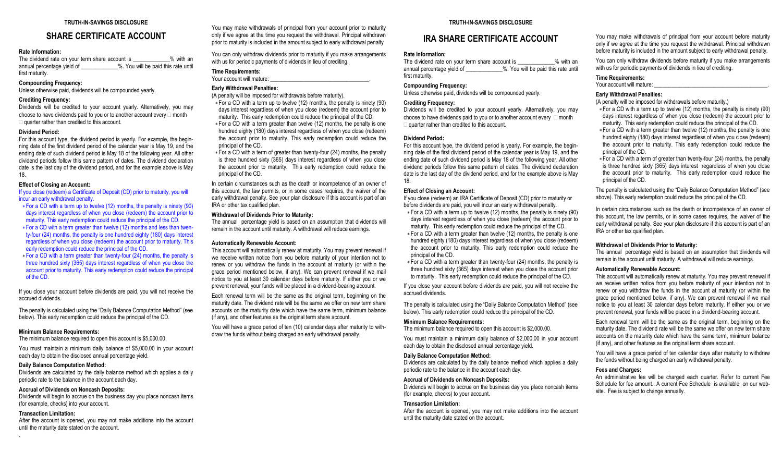# **SHARE CERTIFICATE ACCOUNT**

### **Rate Information:**

The dividend rate on your term share account is  $\frac{9}{2}$  with an annual percentage vield of  $\frac{9}{2}$ . You will be paid this rate until %. You will be paid this rate until first maturity.

### **Compounding Frequency:**

Unless otherwise paid, dividends will be compounded yearly.

### **Crediting Frequency:**

Dividends will be credited to your account yearly. Alternatively, you may choose to have dividends paid to you or to another account every  $\Box$  month  $\Box$  quarter rather than credited to this account.

#### **Dividend Period:**

For this account type, the dividend period is yearly. For example, the beginning date of the first dividend period of the calendar year is May 19, and the ending date of such dividend period is May 18 of the following year. All other dividend periods follow this same pattern of dates. The dividend declaration date is the last day of the dividend period, and for the example above is May 18.

### **Effect of Closing an Account:**

If you close (redeem) a Certificate of Deposit (CD) prior to maturity, you will incur an early withdrawal penalty.

- For a CD with a term up to twelve (12) months, the penalty is ninety (90) days interest regardless of when you close (redeem) the account prior to maturity. This early redemption could reduce the principal of the CD.
- For a CD with a term greater than twelve (12) months and less than twenty-four (24) months, the penalty is one hundred eighty (180) days interest regardless of when you close (redeem) the account prior to maturity. This early redemption could reduce the principal of the CD.
- \* For a CD with a term greater than twenty-four (24) months, the penalty is three hundred sixty (365) days interest regardless of when you close the account prior to maturity. This early redemption could reduce the principal of the CD.

If you close your account before dividends are paid, you will not receive the accrued dividends.

The penalty is calculated using the "Daily Balance Computation Method" (see below). This early redemption could reduce the principal of the CD.

#### **Minimum Balance Requirements:**

The minimum balance required to open this account is \$5,000,00.

You must maintain a minimum daily balance of \$5,000.00 in your account each day to obtain the disclosed annual percentage yield.

#### **Daily Balance Computation Method:**

Dividends are calculated by the daily balance method which applies a daily periodic rate to the balance in the account each day.

### **Accrual of Dividends on Noncash Deposits:**

Dividends will begin to accrue on the business day you place noncash items (for example, checks) into your account.

#### **Transaction Limitation:**

After the account is opened, you may not make additions into the account until the maturity date stated on the account. .

You may make withdrawals of principal from your account prior to maturity only if we agree at the time you request the withdrawal. Principal withdrawn prior to maturity is included in the amount subject to early withdrawal penalty

You can only withdraw dividends prior to maturity if you make arrangements with us for periodic payments of dividends in lieu of crediting.

#### **Time Requirements:** Your account will mature:

**Early Withdrawal Penalties:**

# (A penalty will be imposed for withdrawals before maturity).

For a CD with a term up to twelve (12) months, the penalty is ninety (90) days interest regardless of when you close (redeem) the account prior to maturity. This early redemption could reduce the principal of the CD.

For a CD with a term greater than twelve (12) months, the penalty is one hundred eighty (180) days interest regardless of when you close (redeem) the account prior to maturity. This early redemption could reduce the principal of the CD.

For a CD with a term of greater than twenty-four (24) months, the penalty is three hundred sixty (365) days interest regardless of when you close the account prior to maturity. This early redemption could reduce the principal of the CD.

In certain circumstances such as the death or incompetence of an owner of this account, the law permits, or in some cases requires, the waiver of the early withdrawal penalty. See your plan disclosure if this account is part of an IRA or other tax qualified plan.

### **Withdrawal of Dividends Prior to Maturity:**

The annual percentage yield is based on an assumption that dividends will remain in the account until maturity. A withdrawal will reduce earnings.

### **Automatically Renewable Account:**

This account will automatically renew at maturity. You may prevent renewal if we receive written notice from you before maturity of your intention not to renew or you withdraw the funds in the account at maturity (or within the grace period mentioned below, if any). We can prevent renewal if we mail notice to you at least 30 calendar days before maturity. If either you or we prevent renewal, your funds will be placed in a dividend-bearing account.

Each renewal term will be the same as the original term, beginning on the maturity date. The dividend rate will be the same we offer on new term share accounts on the maturity date which have the same term, minimum balance (if any), and other features as the original term share account.

You will have a grace period of ten (10) calendar days after maturity to withdraw the funds without being charged an early withdrawal penalty.

### **TRUTH-IN-SAVINGS DISCLOSURE**

# **IRA SHARE CERTIFICATE ACCOUNT**

#### **Rate Information:**

The dividend rate on your term share account is  $\%$  with an annual percentage yield of  $\frac{1}{2}$  %. You will be paid this rate until first maturity.

#### **Compounding Frequency:**

Unless otherwise paid, dividends will be compounded yearly.

### **Crediting Frequency:**

Dividends will be credited to your account yearly. Alternatively, you may choose to have dividends paid to you or to another account every  $\Box$  month  $\Box$  quarter rather than credited to this account.

### **Dividend Period:**

For this account type, the dividend period is yearly. For example, the beginning date of the first dividend period of the calendar year is May 19, and the ending date of such dividend period is May 18 of the following year. All other dividend periods follow this same pattern of dates. The dividend declaration date is the last day of the dividend period, and for the example above is May 18.

### **Effect of Closing an Account:**

If you close (redeem) an IRA Certificate of Deposit (CD) prior to maturity or before dividends are paid, you will incur an early withdrawal penalty.

For a CD with a term up to twelve (12) months, the penalty is ninety (90) days interest regardless of when you close (redeem) the account prior to maturity. This early redemption could reduce the principal of the CD. For a CD with a term greater than twelve (12) months, the penalty is one hundred eighty (180) days interest regardless of when you close (redeem) the account prior to maturity. This early redemption could reduce the principal of the CD.

For a CD with a term greater than twenty-four (24) months, the penalty is three hundred sixty (365) days interest when you close the account prior to maturity. This early redemption could reduce the principal of the CD.

If you close your account before dividends are paid, you will not receive the accrued dividends.

The penalty is calculated using the "Daily Balance Computation Method" (see below). This early redemption could reduce the principal of the CD.

#### **Minimum Balance Requirements:**

The minimum balance required to open this account is \$2,000.00.

You must maintain a minimum daily balance of \$2,000.00 in your account each day to obtain the disclosed annual percentage yield.

### **Daily Balance Computation Method:**

Dividends are calculated by the daily balance method which applies a daily periodic rate to the balance in the account each day.

#### **Accrual of Dividends on Noncash Deposits:**

Dividends will begin to accrue on the business day you place noncash items (for example, checks) to your account.

#### **Transaction Limitation:**

After the account is opened, you may not make additions into the account until the maturity date stated on the account.

You may make withdrawals of principal from your account before maturity only if we agree at the time you request the withdrawal. Principal withdrawn before maturity is included in the amount subject to early withdrawal penalty.

You can only withdraw dividends before maturity if you make arrangements with us for periodic payments of dividends in lieu of crediting.

### **Time Requirements:**

Your account will mature:

# **Early Withdrawal Penalties:**

(A penalty will be imposed for withdrawals before maturity.)

- For a CD with a term up to twelve (12) months, the penalty is ninety (90) days interest regardless of when you close (redeem) the account prior to maturity. This early redemption could reduce the principal of the CD.
- For a CD with a term greater than twelve (12) months, the penalty is one hundred eighty (180) days interest regardless of when you close (redeem) the account prior to maturity. This early redemption could reduce the principal of the CD.
- For a CD with a term of greater than twenty-four (24) months, the penalty is three hundred sixty (365) days interest regardless of when you close the account prior to maturity. This early redemption could reduce the principal of the CD.

The penalty is calculated using the "Daily Balance Computation Method" (see above). This early redemption could reduce the principal of the CD.

In certain circumstances such as the death or incompetence of an owner of this account, the law permits, or in some cases requires, the waiver of the early withdrawal penalty. See your plan disclosure if this account is part of an IRA or other tax qualified plan.

### **Withdrawal of Dividends Prior to Maturity:**

The annual percentage yield is based on an assumption that dividends will remain in the account until maturity. A withdrawal will reduce earnings.

### **Automatically Renewable Account:**

This account will automatically renew at maturity. You may prevent renewal if we receive written notice from you before maturity of your intention not to renew or you withdraw the funds in the account at maturity (or within the grace period mentioned below, if any). We can prevent renewal if we mail notice to you at least 30 calendar days before maturity. If either you or we prevent renewal, your funds will be placed in a dividend-bearing account.

Each renewal term will be the same as the original term, beginning on the maturity date. The dividend rate will be the same we offer on new term share accounts on the maturity date which have the same term, minimum balance (if any), and other features as the original term share account.

You will have a grace period of ten calendar days after maturity to withdraw the funds without being charged an early withdrawal penalty.

### **Fees and Charges:**

An administrative fee will be charged each quarter. Refer to current Fee Schedule for fee amount.. A current Fee Schedule is available on our website. Fee is subject to change annually.